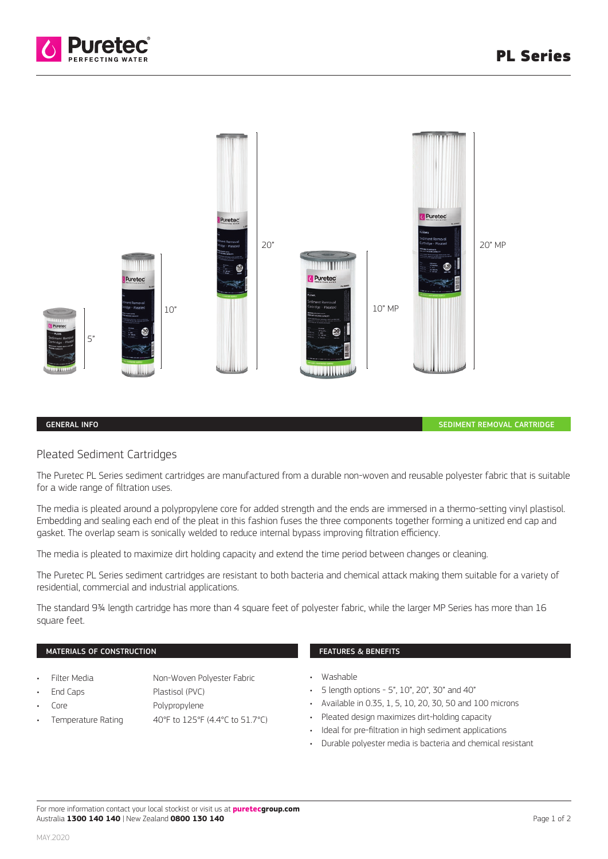



## GENERAL INFO

SEDIMENT REMOVAL CARTRIDGE

## Pleated Sediment Cartridges

The Puretec PL Series sediment cartridges are manufactured from a durable non-woven and reusable polyester fabric that is suitable for a wide range of filtration uses.

The media is pleated around a polypropylene core for added strength and the ends are immersed in a thermo-setting vinyl plastisol. Embedding and sealing each end of the pleat in this fashion fuses the three components together forming a unitized end cap and gasket. The overlap seam is sonically welded to reduce internal bypass improving filtration efficiency.

The media is pleated to maximize dirt holding capacity and extend the time period between changes or cleaning.

The Puretec PL Series sediment cartridges are resistant to both bacteria and chemical attack making them suitable for a variety of residential, commercial and industrial applications.

The standard 9¾ length cartridge has more than 4 square feet of polyester fabric, while the larger MP Series has more than 16 square feet.

## MATERIALS OF CONSTRUCTION

- Filter Media Non-Woven Polyester Fabric
	- End Caps Plastisol (PVC)
- 
- 
- Core Polypropylene
- Temperature Rating 40°F to 125°F (4.4°C to 51.7°C)
- FEATURES & BENEFITS
- Washable
- 5 length options 5", 10", 20", 30" and 40"
- Available in 0.35, 1, 5, 10, 20, 30, 50 and 100 microns
- Pleated design maximizes dirt-holding capacity
- Ideal for pre-filtration in high sediment applications
- Durable polyester media is bacteria and chemical resistant